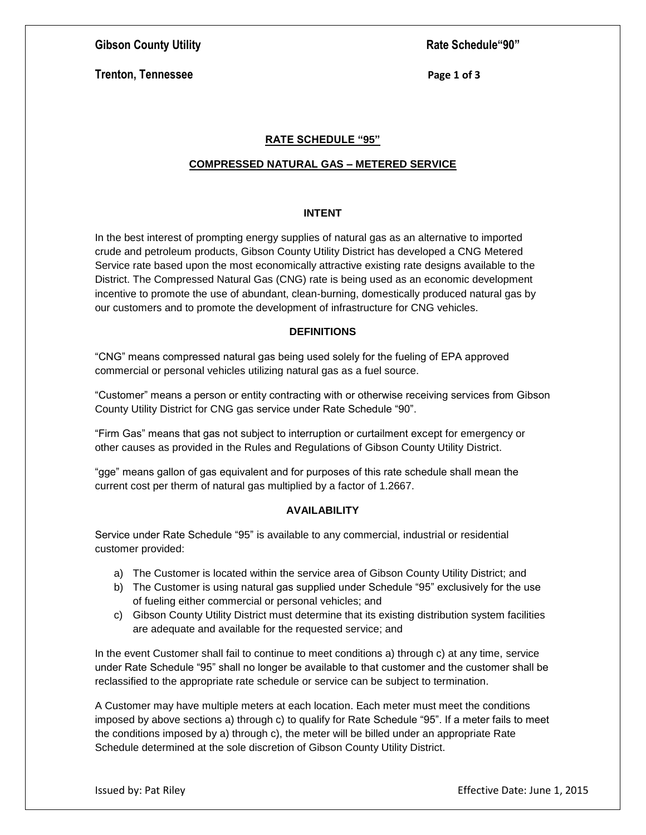# **Gibson County Utility Rate Schedule "90" Rate Schedule "90"**

**Trenton, Tennessee** Page 1 of 3

# **RATE SCHEDULE "95"**

#### **COMPRESSED NATURAL GAS – METERED SERVICE**

#### **INTENT**

In the best interest of prompting energy supplies of natural gas as an alternative to imported crude and petroleum products, Gibson County Utility District has developed a CNG Metered Service rate based upon the most economically attractive existing rate designs available to the District. The Compressed Natural Gas (CNG) rate is being used as an economic development incentive to promote the use of abundant, clean-burning, domestically produced natural gas by our customers and to promote the development of infrastructure for CNG vehicles.

#### **DEFINITIONS**

"CNG" means compressed natural gas being used solely for the fueling of EPA approved commercial or personal vehicles utilizing natural gas as a fuel source.

"Customer" means a person or entity contracting with or otherwise receiving services from Gibson County Utility District for CNG gas service under Rate Schedule "90".

"Firm Gas" means that gas not subject to interruption or curtailment except for emergency or other causes as provided in the Rules and Regulations of Gibson County Utility District.

"gge" means gallon of gas equivalent and for purposes of this rate schedule shall mean the current cost per therm of natural gas multiplied by a factor of 1.2667.

# **AVAILABILITY**

Service under Rate Schedule "95" is available to any commercial, industrial or residential customer provided:

- a) The Customer is located within the service area of Gibson County Utility District; and
- b) The Customer is using natural gas supplied under Schedule "95" exclusively for the use of fueling either commercial or personal vehicles; and
- c) Gibson County Utility District must determine that its existing distribution system facilities are adequate and available for the requested service; and

In the event Customer shall fail to continue to meet conditions a) through c) at any time, service under Rate Schedule "95" shall no longer be available to that customer and the customer shall be reclassified to the appropriate rate schedule or service can be subject to termination.

A Customer may have multiple meters at each location. Each meter must meet the conditions imposed by above sections a) through c) to qualify for Rate Schedule "95". If a meter fails to meet the conditions imposed by a) through c), the meter will be billed under an appropriate Rate Schedule determined at the sole discretion of Gibson County Utility District.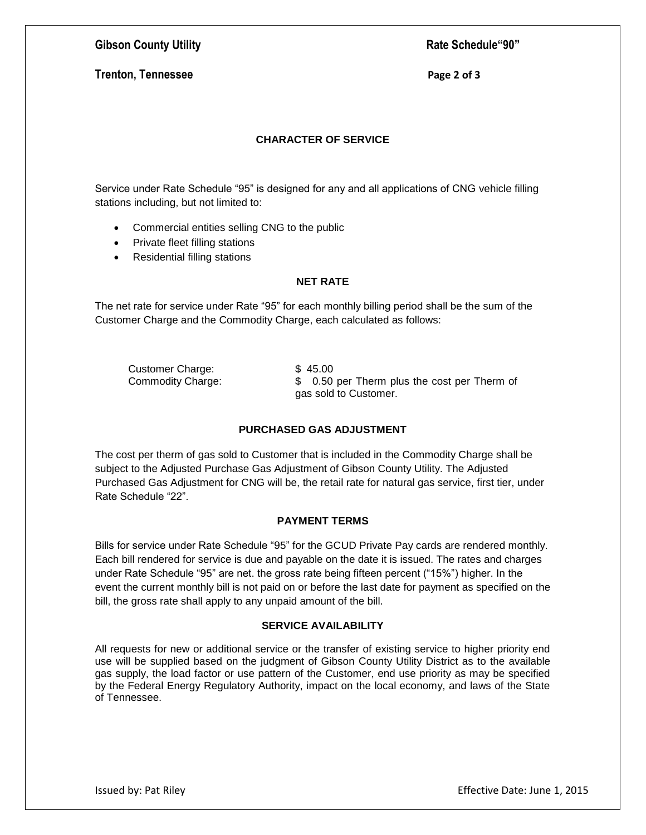# **Gibson County Utility Rate Schedule "90" Rate Schedule "90"**

# **Trenton, Tennessee** Page 2 of 3

## **CHARACTER OF SERVICE**

Service under Rate Schedule "95" is designed for any and all applications of CNG vehicle filling stations including, but not limited to:

- Commercial entities selling CNG to the public
- Private fleet filling stations
- Residential filling stations

#### **NET RATE**

The net rate for service under Rate "95" for each monthly billing period shall be the sum of the Customer Charge and the Commodity Charge, each calculated as follows:

Customer Charge: \$45.00

Commodity Charge: \$ 0.50 per Therm plus the cost per Therm of gas sold to Customer.

### **PURCHASED GAS ADJUSTMENT**

The cost per therm of gas sold to Customer that is included in the Commodity Charge shall be subject to the Adjusted Purchase Gas Adjustment of Gibson County Utility. The Adjusted Purchased Gas Adjustment for CNG will be, the retail rate for natural gas service, first tier, under Rate Schedule "22".

#### **PAYMENT TERMS**

Bills for service under Rate Schedule "95" for the GCUD Private Pay cards are rendered monthly. Each bill rendered for service is due and payable on the date it is issued. The rates and charges under Rate Schedule "95" are net. the gross rate being fifteen percent ("15%") higher. In the event the current monthly bill is not paid on or before the last date for payment as specified on the bill, the gross rate shall apply to any unpaid amount of the bill.

# **SERVICE AVAILABILITY**

All requests for new or additional service or the transfer of existing service to higher priority end use will be supplied based on the judgment of Gibson County Utility District as to the available gas supply, the load factor or use pattern of the Customer, end use priority as may be specified by the Federal Energy Regulatory Authority, impact on the local economy, and laws of the State of Tennessee.